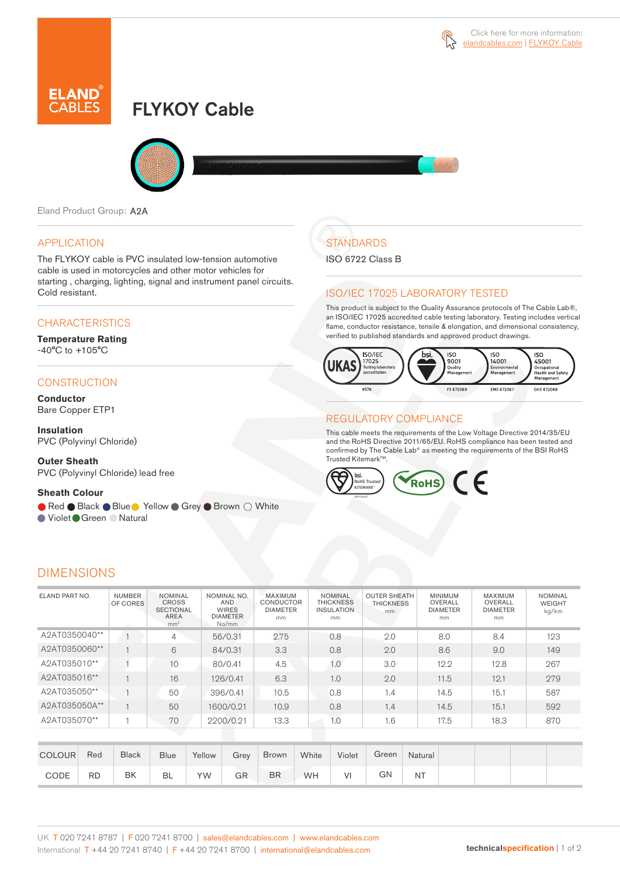

# FLYKOY Cable



Eland Product Group: A2A

#### APPLICATION

The FLYKOY cable is PVC insulated low-tension automotive cable is used in motorcycles and other motor vehicles for starting , charging, lighting, signal and instrument panel circuits. Cold resistant.

### **CHARACTERISTICS**

#### **Temperature Rating**  -40°C to +105°C

#### **CONSTRUCTION**

**Conductor** Bare Copper ETP1

**Insulation** PVC (Polyvinyl Chloride)

**Outer Sheath** PVC (Polyvinyl Chloride) lead free

#### **Sheath Colour**

● Red ● Black ● Blue ● Yellow ● Grey ● Brown ○ White

● Violet Green ● Natural

# **STANDARDS**

ISO 6722 Class B

### ISO/IEC 17025 LABORATORY TESTED

This product is subject to the Quality Assurance protocols of The Cable Lab®, an ISO/IEC 17025 accredited cable testing laboratory. Testing includes vertical flame, conductor resistance, tensile & elongation, and dimensional consistency, verified to published standards and approved product drawings.



### REGULATORY COMPLIANCE

This cable meets the requirements of the Low Voltage Directive 2014/35/EU and the RoHS Directive 2011/65/EU. RoHS compliance has been tested and confirmed by The Cable Lab® as meeting the requirements of the BSI RoHS Trusted Kitemark™.



|  |  | <b>DIMENSIONS</b> |  |
|--|--|-------------------|--|
|  |  |                   |  |

| ELAND PART NO. | <b>NUMBER</b><br>OF CORES | <b>NOMINAL</b><br>CROSS<br><b>SECTIONAL</b><br><b>AREA</b><br>mm <sup>2</sup> | NOMINAL NO.<br>AND<br><b>WIRES</b><br><b>DIAMETER</b><br>No/mm | <b>MAXIMUM</b><br><b>CONDUCTOR</b><br><b>DIAMETER</b><br>mm | <b>NOMINAL</b><br><b>THICKNESS</b><br><b>INSULATION</b><br>mm | <b>OUTER SHEATH</b><br><b>THICKNESS</b><br>mm | <b>MINIMUM</b><br>OVERALL<br><b>DIAMETER</b><br>mm | <b>MAXIMUM</b><br>OVERALL<br><b>DIAMETER</b><br>mm | <b>NOMINAL</b><br>WEIGHT<br>kg/km |
|----------------|---------------------------|-------------------------------------------------------------------------------|----------------------------------------------------------------|-------------------------------------------------------------|---------------------------------------------------------------|-----------------------------------------------|----------------------------------------------------|----------------------------------------------------|-----------------------------------|
| A2AT0350040**  |                           | 4                                                                             | 56/0.31                                                        | 2.75                                                        | 0.8                                                           | 2.0                                           | 8.0                                                | 8.4                                                | 123                               |
| A2AT0350060**  |                           | 6                                                                             | 84/0.31                                                        | 3.3                                                         | 0.8                                                           | 2.0                                           | 8.6                                                | 9.0                                                | 149                               |
| A2AT035010**   |                           | 10                                                                            | 80/0.41                                                        | 4.5                                                         | 1.0                                                           | 3.0                                           | 12.2                                               | 12.8                                               | 267                               |
| A2AT035016**   |                           | 16                                                                            | 126/0.41                                                       | 6.3                                                         | 1.0                                                           | 2.0                                           | 11.5                                               | 12.1                                               | 279                               |
| A2AT035050**   |                           | 50                                                                            | 396/0.41                                                       | 10.5                                                        | 0.8                                                           | 1.4                                           | 14.5                                               | 15.1                                               | 587                               |
| A2AT035050A**  |                           | 50                                                                            | 1600/0.21                                                      | 10.9                                                        | 0.8                                                           | 1.4                                           | 14.5                                               | 15.1                                               | 592                               |
| A2AT035070**   |                           | 70                                                                            | 2200/0.21                                                      | 13.3 <sup>2</sup>                                           | 1.0                                                           | 1.6                                           | 17.5                                               | 18.3                                               | 870                               |
|                |                           |                                                                               |                                                                |                                                             |                                                               |                                               |                                                    |                                                    |                                   |

| <b>COLOUR</b> | Red       | <b>Black</b> | <b>Blue</b> | Yellow | Grey | <b>Brown</b> | White | Violet | Green | Natural |  |  |
|---------------|-----------|--------------|-------------|--------|------|--------------|-------|--------|-------|---------|--|--|
| CODE          | <b>RD</b> | BK           | <b>BL</b>   | YW     | GR   | <b>BR</b>    | WH    | VI     | GN    | ΝT      |  |  |